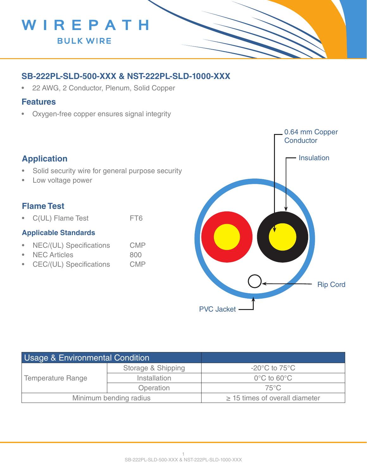

## **SB-222PL-SLD-500-XXX & NST-222PL-SLD-1000-XXX**

• 22 AWG, 2 Conductor, Plenum, Solid Copper

#### **Features**

• Oxygen-free copper ensures signal integrity

## **Application**

- Solid security wire for general purpose security
- Low voltage power

### **Flame Test**

• C(UL) Flame Test FT6

#### **Applicable Standards**

- NEC/(UL) Specifications CMP
- NEC Articles 800
- CEC/(UL) Specifications CMP



| <b>Usage &amp; Environmental Condition</b> |                    |                                     |
|--------------------------------------------|--------------------|-------------------------------------|
| <b>Temperature Range</b>                   | Storage & Shipping | $-20^{\circ}$ C to 75 $^{\circ}$ C  |
|                                            | Installation       | $0^{\circ}$ C to 60 $^{\circ}$ C    |
|                                            | Operation          | 75°C                                |
| Minimum bending radius                     |                    | $\geq$ 15 times of overall diameter |